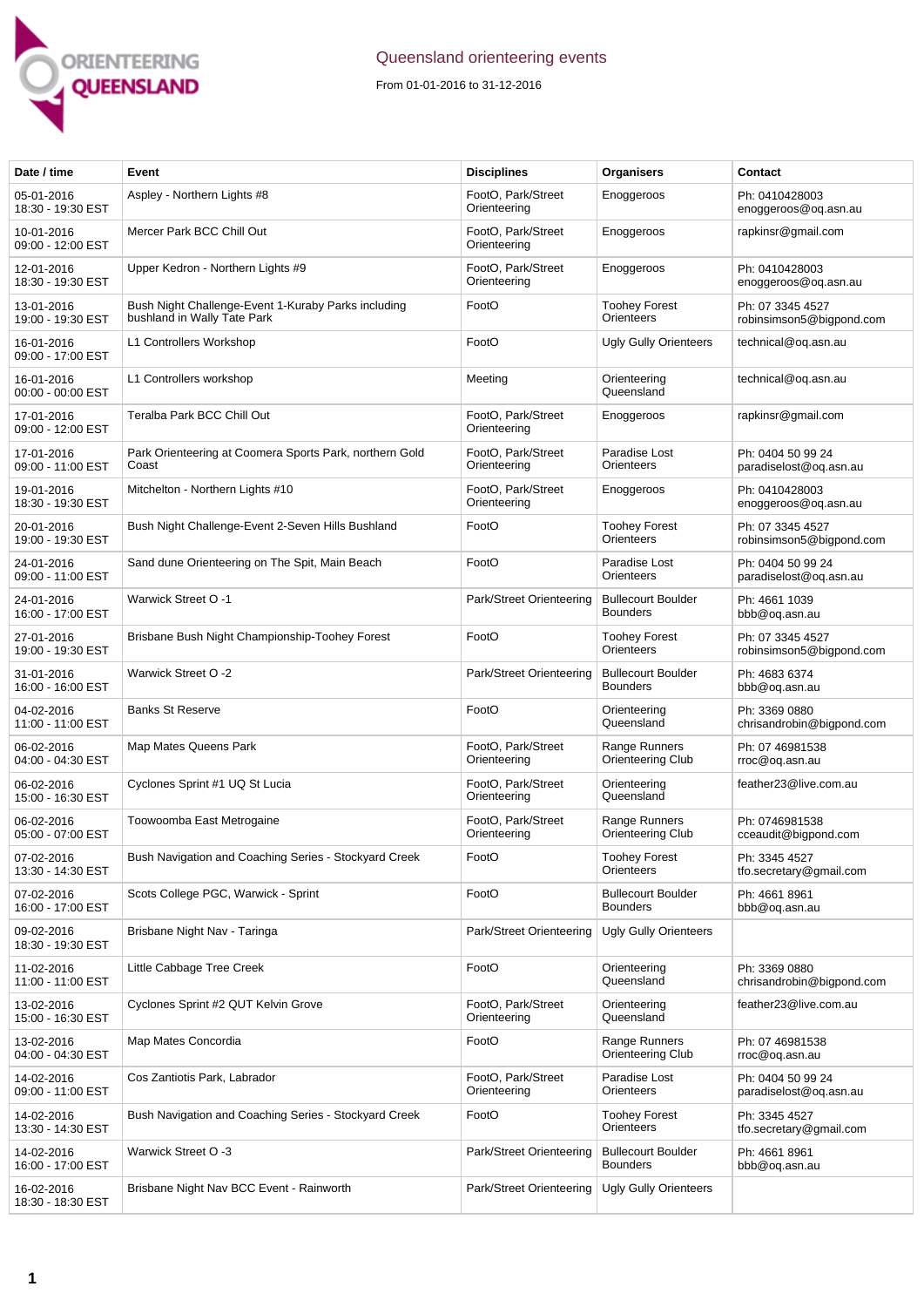

## Queensland orienteering events

From 01-01-2016 to 31-12-2016

| Date / time                     | Event                                                                              | <b>Disciplines</b>                 | Organisers                                   | Contact                                      |
|---------------------------------|------------------------------------------------------------------------------------|------------------------------------|----------------------------------------------|----------------------------------------------|
| 05-01-2016<br>18:30 - 19:30 EST | Aspley - Northern Lights #8                                                        | FootO, Park/Street<br>Orienteering | Enoggeroos                                   | Ph: 0410428003<br>enoggeroos@og.asn.au       |
| 10-01-2016<br>09:00 - 12:00 EST | Mercer Park BCC Chill Out                                                          | FootO, Park/Street<br>Orienteering | Enoggeroos                                   | rapkinsr@gmail.com                           |
| 12-01-2016<br>18:30 - 19:30 EST | Upper Kedron - Northern Lights #9                                                  | FootO, Park/Street<br>Orienteering | Enoggeroos                                   | Ph: 0410428003<br>enoggeroos@og.asn.au       |
| 13-01-2016<br>19:00 - 19:30 EST | Bush Night Challenge-Event 1-Kuraby Parks including<br>bushland in Wally Tate Park | FootO                              | <b>Toohey Forest</b><br>Orienteers           | Ph: 07 3345 4527<br>robinsimson5@bigpond.com |
| 16-01-2016<br>09:00 - 17:00 EST | L1 Controllers Workshop                                                            | FootO                              | <b>Ugly Gully Orienteers</b>                 | technical@oq.asn.au                          |
| 16-01-2016<br>00:00 - 00:00 EST | L1 Controllers workshop                                                            | Meeting                            | Orienteering<br>Queensland                   | technical@og.asn.au                          |
| 17-01-2016<br>09:00 - 12:00 EST | Teralba Park BCC Chill Out                                                         | FootO, Park/Street<br>Orienteering | Enoggeroos                                   | rapkinsr@gmail.com                           |
| 17-01-2016<br>09:00 - 11:00 EST | Park Orienteering at Coomera Sports Park, northern Gold<br>Coast                   | FootO, Park/Street<br>Orienteering | Paradise Lost<br>Orienteers                  | Ph: 0404 50 99 24<br>paradiselost@oq.asn.au  |
| 19-01-2016<br>18:30 - 19:30 EST | Mitchelton - Northern Lights #10                                                   | FootO, Park/Street<br>Orienteering | Enoggeroos                                   | Ph: 0410428003<br>enoggeroos@og.asn.au       |
| 20-01-2016<br>19:00 - 19:30 EST | Bush Night Challenge-Event 2-Seven Hills Bushland                                  | FootO                              | <b>Toohey Forest</b><br>Orienteers           | Ph: 07 3345 4527<br>robinsimson5@bigpond.com |
| 24-01-2016<br>09:00 - 11:00 EST | Sand dune Orienteering on The Spit, Main Beach                                     | FootO                              | Paradise Lost<br>Orienteers                  | Ph: 0404 50 99 24<br>paradiselost@oq.asn.au  |
| 24-01-2016<br>16:00 - 17:00 EST | <b>Warwick Street O -1</b>                                                         | Park/Street Orienteering           | <b>Bullecourt Boulder</b><br><b>Bounders</b> | Ph: 4661 1039<br>bbb@oq.asn.au               |
| 27-01-2016<br>19:00 - 19:30 EST | Brisbane Bush Night Championship-Toohey Forest                                     | FootO                              | <b>Toohey Forest</b><br>Orienteers           | Ph: 07 3345 4527<br>robinsimson5@bigpond.com |
| 31-01-2016<br>16:00 - 16:00 EST | Warwick Street O -2                                                                | Park/Street Orienteering           | <b>Bullecourt Boulder</b><br><b>Bounders</b> | Ph: 4683 6374<br>bbb@oq.asn.au               |
| 04-02-2016<br>11:00 - 11:00 EST | <b>Banks St Reserve</b>                                                            | FootO                              | Orienteering<br>Queensland                   | Ph: 3369 0880<br>chrisandrobin@bigpond.com   |
| 06-02-2016<br>04:00 - 04:30 EST | Map Mates Queens Park                                                              | FootO, Park/Street<br>Orienteering | Range Runners<br>Orienteering Club           | Ph: 07 46981538<br>rroc@oq.asn.au            |
| 06-02-2016<br>15:00 - 16:30 EST | Cyclones Sprint #1 UQ St Lucia                                                     | FootO, Park/Street<br>Orienteering | Orienteering<br>Queensland                   | feather23@live.com.au                        |
| 06-02-2016<br>05:00 - 07:00 EST | Toowoomba East Metrogaine                                                          | FootO, Park/Street<br>Orienteering | Range Runners<br>Orienteering Club           | Ph: 0746981538<br>cceaudit@bigpond.com       |
| 07-02-2016<br>13:30 - 14:30 EST | Bush Navigation and Coaching Series - Stockyard Creek                              | FootO                              | Toohey Forest<br>Orienteers                  | Ph: 3345 4527<br>tfo.secretary@gmail.com     |
| 07-02-2016<br>16:00 - 17:00 EST | Scots College PGC, Warwick - Sprint                                                | FootO                              | <b>Bullecourt Boulder</b><br><b>Bounders</b> | Ph: 4661 8961<br>bbb@og.asn.au               |
| 09-02-2016<br>18:30 - 19:30 EST | Brisbane Night Nav - Taringa                                                       | Park/Street Orienteering           | <b>Ugly Gully Orienteers</b>                 |                                              |
| 11-02-2016<br>11:00 - 11:00 EST | Little Cabbage Tree Creek                                                          | FootO                              | Orienteering<br>Queensland                   | Ph: 3369 0880<br>chrisandrobin@bigpond.com   |
| 13-02-2016<br>15:00 - 16:30 EST | Cyclones Sprint #2 QUT Kelvin Grove                                                | FootO, Park/Street<br>Orienteering | Orienteering<br>Queensland                   | feather23@live.com.au                        |
| 13-02-2016<br>04:00 - 04:30 EST | Map Mates Concordia                                                                | FootO                              | Range Runners<br>Orienteering Club           | Ph: 07 46981538<br>rroc@oq.asn.au            |
| 14-02-2016<br>09:00 - 11:00 EST | Cos Zantiotis Park, Labrador                                                       | FootO, Park/Street<br>Orienteering | Paradise Lost<br>Orienteers                  | Ph: 0404 50 99 24<br>paradiselost@oq.asn.au  |
| 14-02-2016<br>13:30 - 14:30 EST | Bush Navigation and Coaching Series - Stockyard Creek                              | FootO                              | <b>Toohey Forest</b><br>Orienteers           | Ph: 3345 4527<br>tfo.secretary@gmail.com     |
| 14-02-2016<br>16:00 - 17:00 EST | Warwick Street O -3                                                                | Park/Street Orienteering           | <b>Bullecourt Boulder</b><br><b>Bounders</b> | Ph: 4661 8961<br>bbb@oq.asn.au               |
| 16-02-2016<br>18:30 - 18:30 EST | Brisbane Night Nav BCC Event - Rainworth                                           | Park/Street Orienteering           | <b>Ugly Gully Orienteers</b>                 |                                              |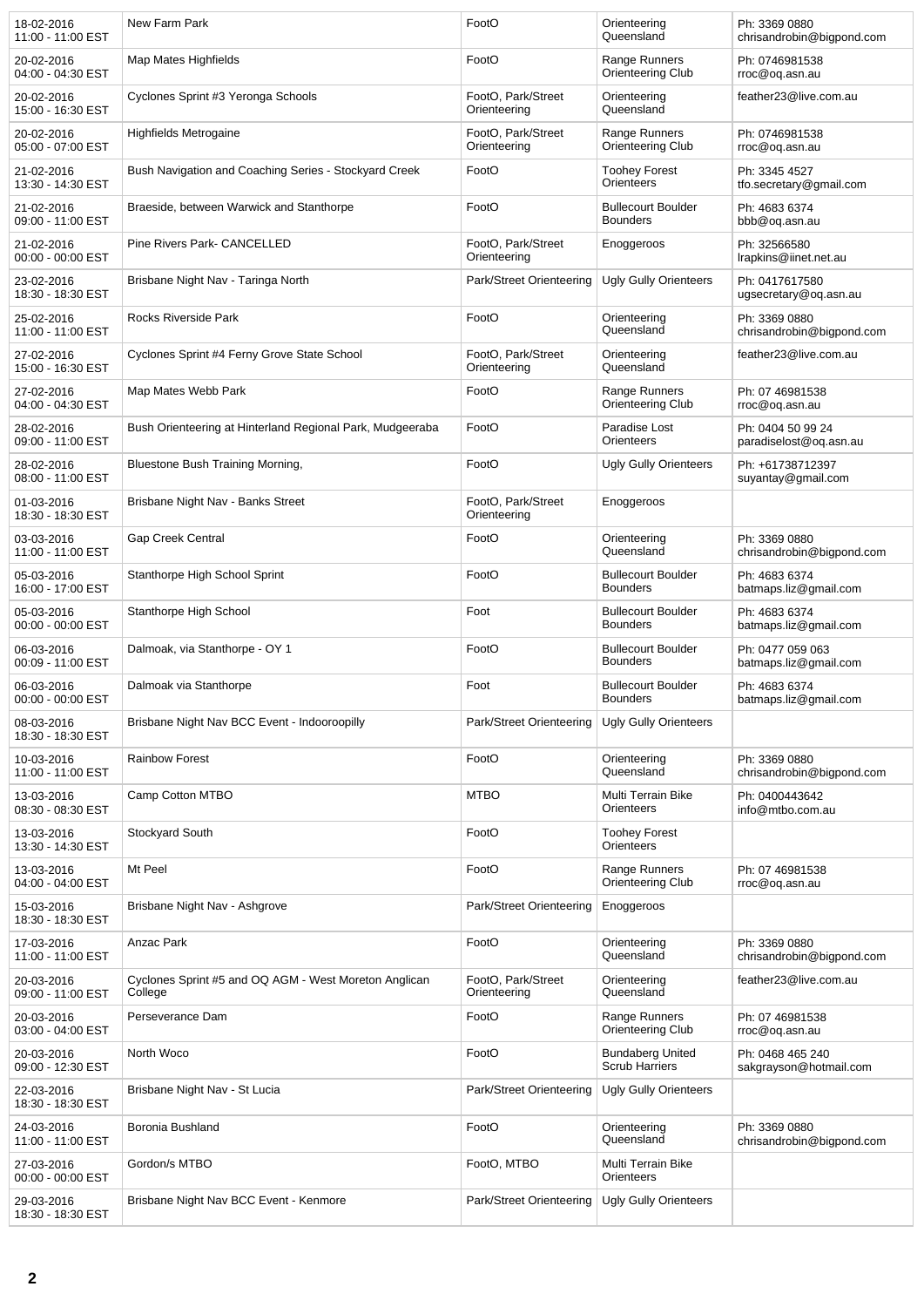| 18-02-2016<br>11:00 - 11:00 EST | New Farm Park                                                    | FootO                              | Orienteering<br>Queensland                       | Ph: 3369 0880<br>chrisandrobin@bigpond.com  |
|---------------------------------|------------------------------------------------------------------|------------------------------------|--------------------------------------------------|---------------------------------------------|
| 20-02-2016<br>04:00 - 04:30 EST | Map Mates Highfields                                             | FootO                              | Range Runners<br>Orienteering Club               | Ph: 0746981538<br>rroc@oq.asn.au            |
| 20-02-2016<br>15:00 - 16:30 EST | Cyclones Sprint #3 Yeronga Schools                               | FootO, Park/Street<br>Orienteering | Orienteering<br>Queensland                       | feather23@live.com.au                       |
| 20-02-2016<br>05:00 - 07:00 EST | <b>Highfields Metrogaine</b>                                     | FootO, Park/Street<br>Orienteering | Range Runners<br>Orienteering Club               | Ph: 0746981538<br>rroc@oq.asn.au            |
| 21-02-2016<br>13:30 - 14:30 EST | Bush Navigation and Coaching Series - Stockyard Creek            | FootO                              | <b>Toohey Forest</b><br>Orienteers               | Ph: 3345 4527<br>tfo.secretary@gmail.com    |
| 21-02-2016<br>09:00 - 11:00 EST | Braeside, between Warwick and Stanthorpe                         | FootO                              | <b>Bullecourt Boulder</b><br><b>Bounders</b>     | Ph: 4683 6374<br>bbb@oq.asn.au              |
| 21-02-2016<br>00:00 - 00:00 EST | Pine Rivers Park- CANCELLED                                      | FootO, Park/Street<br>Orienteering | Enoggeroos                                       | Ph: 32566580<br>Irapkins@iinet.net.au       |
| 23-02-2016<br>18:30 - 18:30 EST | Brisbane Night Nav - Taringa North                               | Park/Street Orienteering           | <b>Ugly Gully Orienteers</b>                     | Ph: 0417617580<br>ugsecretary@oq.asn.au     |
| 25-02-2016<br>11:00 - 11:00 EST | Rocks Riverside Park                                             | FootO                              | Orienteering<br>Queensland                       | Ph: 3369 0880<br>chrisandrobin@bigpond.com  |
| 27-02-2016<br>15:00 - 16:30 EST | Cyclones Sprint #4 Ferny Grove State School                      | FootO. Park/Street<br>Orienteering | Orienteering<br>Queensland                       | feather23@live.com.au                       |
| 27-02-2016<br>04:00 - 04:30 EST | Map Mates Webb Park                                              | FootO                              | Range Runners<br>Orienteering Club               | Ph: 07 46981538<br>rroc@oq.asn.au           |
| 28-02-2016<br>09:00 - 11:00 EST | Bush Orienteering at Hinterland Regional Park, Mudgeeraba        | FootO                              | Paradise Lost<br>Orienteers                      | Ph: 0404 50 99 24<br>paradiselost@og.asn.au |
| 28-02-2016<br>08:00 - 11:00 EST | Bluestone Bush Training Morning,                                 | FootO                              | <b>Ugly Gully Orienteers</b>                     | Ph: +61738712397<br>suyantay@gmail.com      |
| 01-03-2016<br>18:30 - 18:30 EST | Brisbane Night Nav - Banks Street                                | FootO, Park/Street<br>Orienteering | Enoggeroos                                       |                                             |
| 03-03-2016<br>11:00 - 11:00 EST | Gap Creek Central                                                | FootO                              | Orienteering<br>Queensland                       | Ph: 3369 0880<br>chrisandrobin@bigpond.com  |
| 05-03-2016<br>16:00 - 17:00 EST | Stanthorpe High School Sprint                                    | FootO                              | <b>Bullecourt Boulder</b><br><b>Bounders</b>     | Ph: 4683 6374<br>batmaps.liz@gmail.com      |
| 05-03-2016<br>00:00 - 00:00 EST | Stanthorpe High School                                           | Foot                               | <b>Bullecourt Boulder</b><br><b>Bounders</b>     | Ph: 4683 6374<br>batmaps.liz@gmail.com      |
| 06-03-2016<br>00:09 - 11:00 EST | Dalmoak, via Stanthorpe - OY 1                                   | FootO                              | <b>Bullecourt Boulder</b><br><b>Bounders</b>     | Ph: 0477 059 063<br>batmaps.liz@gmail.com   |
| 06-03-2016<br>00:00 - 00:00 EST | Dalmoak via Stanthorpe                                           | Foot                               | <b>Bullecourt Boulder</b><br><b>Bounders</b>     | Ph: 4683 6374<br>batmaps.liz@gmail.com      |
| 08-03-2016<br>18:30 - 18:30 EST | Brisbane Night Nav BCC Event - Indooroopilly                     | Park/Street Orienteering           | <b>Ugly Gully Orienteers</b>                     |                                             |
| 10-03-2016<br>11:00 - 11:00 EST | <b>Rainbow Forest</b>                                            | FootO                              | Orienteering<br>Queensland                       | Ph: 3369 0880<br>chrisandrobin@bigpond.com  |
| 13-03-2016<br>08:30 - 08:30 EST | Camp Cotton MTBO                                                 | <b>MTBO</b>                        | Multi Terrain Bike<br>Orienteers                 | Ph: 0400443642<br>info@mtbo.com.au          |
| 13-03-2016<br>13:30 - 14:30 EST | Stockyard South                                                  | FootO                              | <b>Toohey Forest</b><br>Orienteers               |                                             |
| 13-03-2016<br>04:00 - 04:00 EST | Mt Peel                                                          | FootO                              | Range Runners<br>Orienteering Club               | Ph: 07 46981538<br>rroc@oq.asn.au           |
| 15-03-2016<br>18:30 - 18:30 EST | Brisbane Night Nav - Ashgrove                                    | Park/Street Orienteering           | Enoggeroos                                       |                                             |
| 17-03-2016<br>11:00 - 11:00 EST | Anzac Park                                                       | FootO                              | Orienteering<br>Queensland                       | Ph: 3369 0880<br>chrisandrobin@bigpond.com  |
| 20-03-2016<br>09:00 - 11:00 EST | Cyclones Sprint #5 and OQ AGM - West Moreton Anglican<br>College | FootO, Park/Street<br>Orienteering | Orienteering<br>Queensland                       | feather23@live.com.au                       |
| 20-03-2016<br>03:00 - 04:00 EST | Perseverance Dam                                                 | FootO                              | Range Runners<br>Orienteering Club               | Ph: 07 46981538<br>rroc@oq.asn.au           |
| 20-03-2016<br>09:00 - 12:30 EST | North Woco                                                       | FootO                              | <b>Bundaberg United</b><br><b>Scrub Harriers</b> | Ph: 0468 465 240<br>sakgrayson@hotmail.com  |
| 22-03-2016<br>18:30 - 18:30 EST | Brisbane Night Nav - St Lucia                                    | Park/Street Orienteering           | <b>Ugly Gully Orienteers</b>                     |                                             |
| 24-03-2016<br>11:00 - 11:00 EST | Boronia Bushland                                                 | FootO                              | Orienteering<br>Queensland                       | Ph: 3369 0880<br>chrisandrobin@bigpond.com  |
| 27-03-2016<br>00:00 - 00:00 EST | Gordon/s MTBO                                                    | FootO, MTBO                        | Multi Terrain Bike<br>Orienteers                 |                                             |
| 29-03-2016<br>18:30 - 18:30 EST | Brisbane Night Nav BCC Event - Kenmore                           | Park/Street Orienteering           | <b>Ugly Gully Orienteers</b>                     |                                             |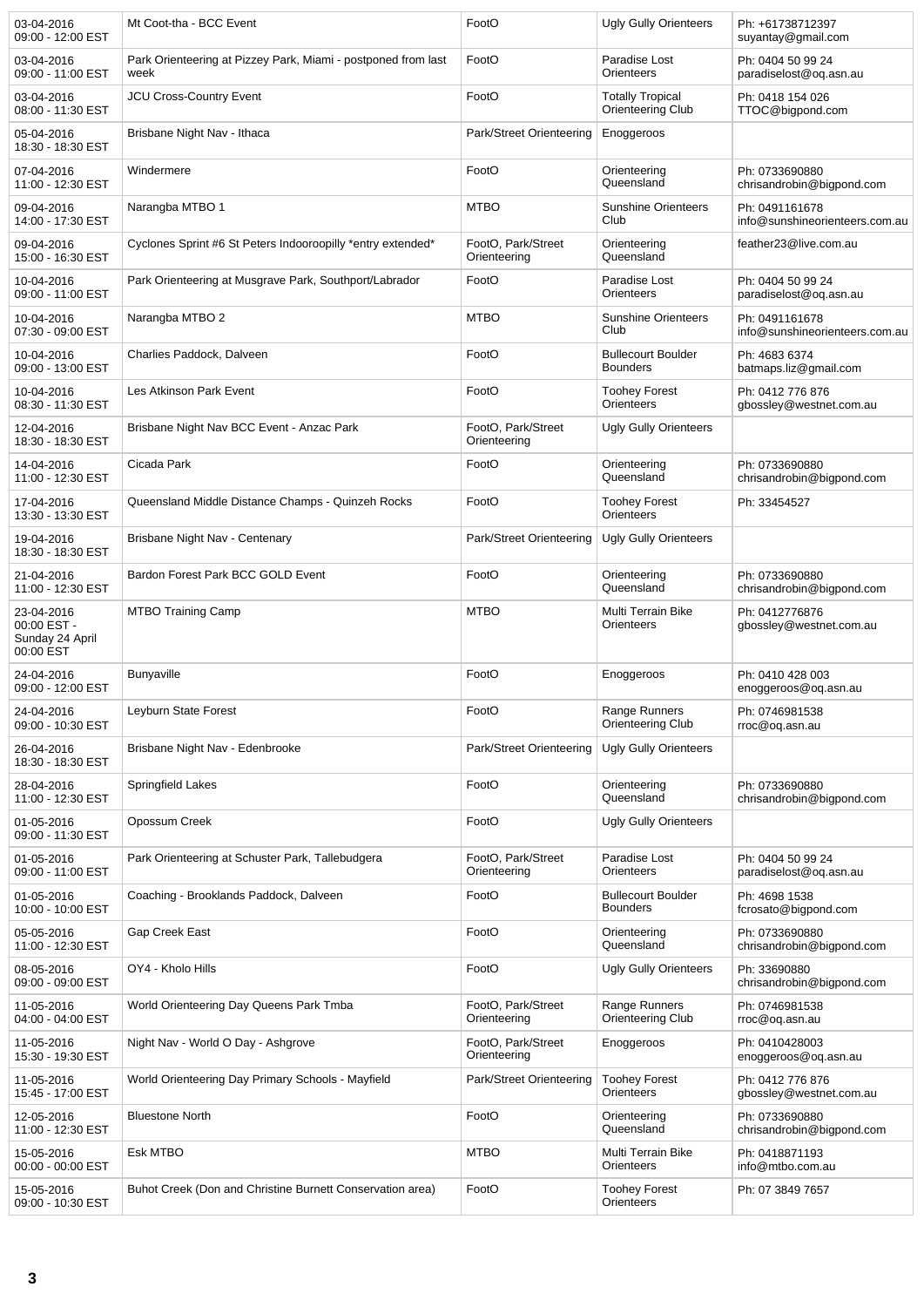| 03-04-2016<br>09:00 - 12:00 EST                           | Mt Coot-tha - BCC Event                                               | FootO                              | <b>Ugly Gully Orienteers</b>                 | Ph: +61738712397<br>suyantay@gmail.com           |
|-----------------------------------------------------------|-----------------------------------------------------------------------|------------------------------------|----------------------------------------------|--------------------------------------------------|
| 03-04-2016<br>09:00 - 11:00 EST                           | Park Orienteering at Pizzey Park, Miami - postponed from last<br>week | FootO                              | Paradise Lost<br>Orienteers                  | Ph: 0404 50 99 24<br>paradiselost@oq.asn.au      |
| 03-04-2016<br>08:00 - 11:30 EST                           | JCU Cross-Country Event                                               | FootO                              | <b>Totally Tropical</b><br>Orienteering Club | Ph: 0418 154 026<br>TTOC@bigpond.com             |
| 05-04-2016<br>18:30 - 18:30 EST                           | Brisbane Night Nav - Ithaca                                           | Park/Street Orienteering           | Enoggeroos                                   |                                                  |
| 07-04-2016<br>11:00 - 12:30 EST                           | Windermere                                                            | FootO                              | Orienteering<br>Queensland                   | Ph: 0733690880<br>chrisandrobin@bigpond.com      |
| 09-04-2016<br>14:00 - 17:30 EST                           | Narangba MTBO 1                                                       | <b>MTBO</b>                        | <b>Sunshine Orienteers</b><br>Club           | Ph: 0491161678<br>info@sunshineorienteers.com.au |
| 09-04-2016<br>15:00 - 16:30 EST                           | Cyclones Sprint #6 St Peters Indooroopilly *entry extended*           | FootO, Park/Street<br>Orienteering | Orienteering<br>Queensland                   | feather23@live.com.au                            |
| 10-04-2016<br>09:00 - 11:00 EST                           | Park Orienteering at Musgrave Park, Southport/Labrador                | FootO                              | Paradise Lost<br>Orienteers                  | Ph: 0404 50 99 24<br>paradiselost@oq.asn.au      |
| 10-04-2016<br>07:30 - 09:00 EST                           | Narangba MTBO 2                                                       | <b>MTBO</b>                        | <b>Sunshine Orienteers</b><br>Club           | Ph: 0491161678<br>info@sunshineorienteers.com.au |
| 10-04-2016<br>09:00 - 13:00 EST                           | Charlies Paddock, Dalveen                                             | FootO                              | <b>Bullecourt Boulder</b><br><b>Bounders</b> | Ph: 4683 6374<br>batmaps.liz@gmail.com           |
| 10-04-2016<br>08:30 - 11:30 EST                           | Les Atkinson Park Event                                               | FootO                              | <b>Toohey Forest</b><br>Orienteers           | Ph: 0412 776 876<br>gbossley@westnet.com.au      |
| 12-04-2016<br>18:30 - 18:30 EST                           | Brisbane Night Nav BCC Event - Anzac Park                             | FootO, Park/Street<br>Orienteering | <b>Ugly Gully Orienteers</b>                 |                                                  |
| 14-04-2016<br>11:00 - 12:30 EST                           | Cicada Park                                                           | FootO                              | Orienteering<br>Queensland                   | Ph: 0733690880<br>chrisandrobin@bigpond.com      |
| 17-04-2016<br>13:30 - 13:30 EST                           | Queensland Middle Distance Champs - Quinzeh Rocks                     | FootO                              | <b>Toohey Forest</b><br>Orienteers           | Ph: 33454527                                     |
| 19-04-2016<br>18:30 - 18:30 EST                           | Brisbane Night Nav - Centenary                                        | Park/Street Orienteering           | <b>Ugly Gully Orienteers</b>                 |                                                  |
| 21-04-2016<br>11:00 - 12:30 EST                           | Bardon Forest Park BCC GOLD Event                                     | FootO                              | Orienteering<br>Queensland                   | Ph: 0733690880<br>chrisandrobin@bigpond.com      |
| 23-04-2016<br>00:00 EST -<br>Sunday 24 April<br>00:00 EST | <b>MTBO Training Camp</b>                                             | <b>MTBO</b>                        | Multi Terrain Bike<br>Orienteers             | Ph: 0412776876<br>gbossley@westnet.com.au        |
| 24-04-2016<br>09:00 - 12:00 EST                           | <b>Bunyaville</b>                                                     | FootO                              | Enoggeroos                                   | Ph: 0410 428 003<br>enoggeroos@og.asn.au         |
| 24-04-2016<br>09:00 - 10:30 EST                           | Leyburn State Forest                                                  | FootO                              | Range Runners<br>Orienteering Club           | Ph: 0746981538<br>rroc@oq.asn.au                 |
| 26-04-2016<br>18:30 - 18:30 EST                           | Brisbane Night Nav - Edenbrooke                                       | Park/Street Orienteering           | <b>Ugly Gully Orienteers</b>                 |                                                  |
| 28-04-2016<br>11:00 - 12:30 EST                           | Springfield Lakes                                                     | FootO                              | Orienteering<br>Queensland                   | Ph: 0733690880<br>chrisandrobin@bigpond.com      |
| 01-05-2016<br>09:00 - 11:30 EST                           | Opossum Creek                                                         | FootO                              | Ugly Gully Orienteers                        |                                                  |
| 01-05-2016<br>09:00 - 11:00 EST                           | Park Orienteering at Schuster Park, Tallebudgera                      | FootO, Park/Street<br>Orienteering | Paradise Lost<br>Orienteers                  | Ph: 0404 50 99 24<br>paradiselost@og.asn.au      |
| 01-05-2016<br>10:00 - 10:00 EST                           | Coaching - Brooklands Paddock, Dalveen                                | FootO                              | <b>Bullecourt Boulder</b><br><b>Bounders</b> | Ph: 4698 1538<br>fcrosato@bigpond.com            |
| 05-05-2016<br>11:00 - 12:30 EST                           | Gap Creek East                                                        | FootO                              | Orienteering<br>Queensland                   | Ph: 0733690880<br>chrisandrobin@bigpond.com      |
| 08-05-2016<br>09:00 - 09:00 EST                           | OY4 - Kholo Hills                                                     | FootO                              | Ugly Gully Orienteers                        | Ph: 33690880<br>chrisandrobin@bigpond.com        |
| 11-05-2016<br>04:00 - 04:00 EST                           | World Orienteering Day Queens Park Tmba                               | FootO, Park/Street<br>Orienteering | Range Runners<br>Orienteering Club           | Ph: 0746981538<br>rroc@oq.asn.au                 |
| 11-05-2016<br>15:30 - 19:30 EST                           | Night Nav - World O Day - Ashgrove                                    | FootO, Park/Street<br>Orienteering | Enoggeroos                                   | Ph: 0410428003<br>enoggeroos@oq.asn.au           |
| 11-05-2016<br>15:45 - 17:00 EST                           | World Orienteering Day Primary Schools - Mayfield                     | Park/Street Orienteering           | <b>Toohey Forest</b><br>Orienteers           | Ph: 0412 776 876<br>gbossley@westnet.com.au      |
| 12-05-2016<br>11:00 - 12:30 EST                           | <b>Bluestone North</b>                                                | FootO                              | Orienteering<br>Queensland                   | Ph: 0733690880<br>chrisandrobin@bigpond.com      |
| 15-05-2016<br>00:00 - 00:00 EST                           | Esk MTBO                                                              | <b>MTBO</b>                        | Multi Terrain Bike<br>Orienteers             | Ph: 0418871193<br>info@mtbo.com.au               |
| 15-05-2016<br>09:00 - 10:30 EST                           | Buhot Creek (Don and Christine Burnett Conservation area)             | FootO                              | <b>Toohey Forest</b><br>Orienteers           | Ph: 07 3849 7657                                 |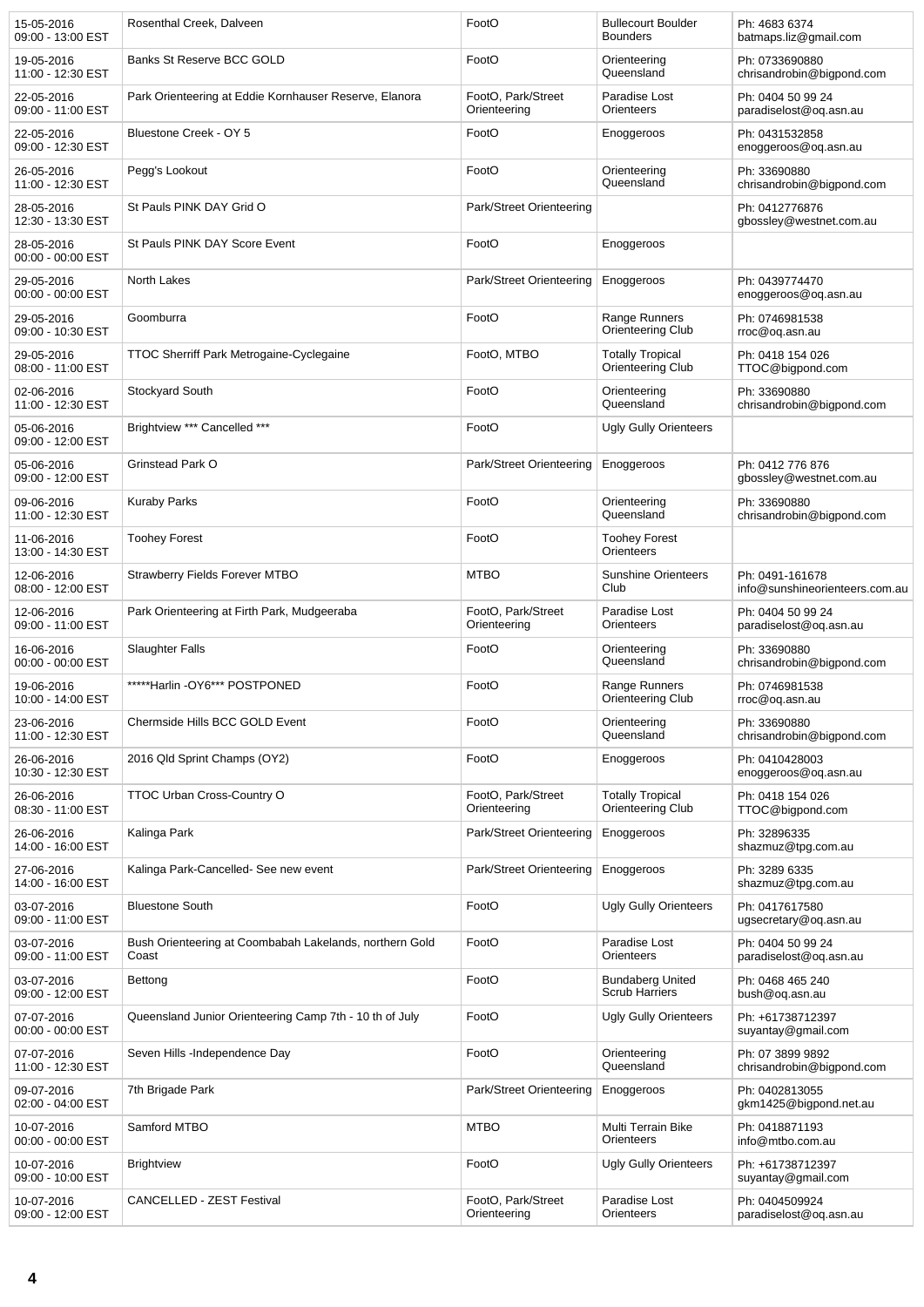| 15-05-2016<br>09:00 - 13:00 EST | Rosenthal Creek, Dalveen                                         | FootO                              | <b>Bullecourt Boulder</b><br><b>Bounders</b>        | Ph: 4683 6374<br>batmaps.liz@gmail.com            |
|---------------------------------|------------------------------------------------------------------|------------------------------------|-----------------------------------------------------|---------------------------------------------------|
| 19-05-2016<br>11:00 - 12:30 EST | Banks St Reserve BCC GOLD                                        | FootO                              | Orienteering<br>Queensland                          | Ph: 0733690880<br>chrisandrobin@bigpond.com       |
| 22-05-2016<br>09:00 - 11:00 EST | Park Orienteering at Eddie Kornhauser Reserve, Elanora           | FootO, Park/Street<br>Orienteering | Paradise Lost<br>Orienteers                         | Ph: 0404 50 99 24<br>paradiselost@oq.asn.au       |
| 22-05-2016<br>09:00 - 12:30 EST | Bluestone Creek - OY 5                                           | FootO                              | Enoggeroos                                          | Ph: 0431532858<br>enoggeroos@oq.asn.au            |
| 26-05-2016<br>11:00 - 12:30 EST | Pegg's Lookout                                                   | FootO                              | Orienteering<br>Queensland                          | Ph: 33690880<br>chrisandrobin@bigpond.com         |
| 28-05-2016<br>12:30 - 13:30 EST | St Pauls PINK DAY Grid O                                         | Park/Street Orienteering           |                                                     | Ph: 0412776876<br>gbossley@westnet.com.au         |
| 28-05-2016<br>00:00 - 00:00 EST | St Pauls PINK DAY Score Event                                    | FootO                              | Enoggeroos                                          |                                                   |
| 29-05-2016<br>00:00 - 00:00 EST | North Lakes                                                      | Park/Street Orienteering           | Enoggeroos                                          | Ph: 0439774470<br>enoggeroos@oq.asn.au            |
| 29-05-2016<br>09:00 - 10:30 EST | Goomburra                                                        | FootO                              | Range Runners<br>Orienteering Club                  | Ph: 0746981538<br>rroc@oq.asn.au                  |
| 29-05-2016<br>08:00 - 11:00 EST | TTOC Sherriff Park Metrogaine-Cyclegaine                         | FootO, MTBO                        | <b>Totally Tropical</b><br><b>Orienteering Club</b> | Ph: 0418 154 026<br>TTOC@bigpond.com              |
| 02-06-2016<br>11:00 - 12:30 EST | Stockyard South                                                  | FootO                              | Orienteering<br>Queensland                          | Ph: 33690880<br>chrisandrobin@bigpond.com         |
| 05-06-2016<br>09:00 - 12:00 EST | Brightview *** Cancelled ***                                     | FootO                              | <b>Ugly Gully Orienteers</b>                        |                                                   |
| 05-06-2016<br>09:00 - 12:00 EST | Grinstead Park O                                                 | Park/Street Orienteering           | Enoggeroos                                          | Ph: 0412 776 876<br>gbossley@westnet.com.au       |
| 09-06-2016<br>11:00 - 12:30 EST | <b>Kuraby Parks</b>                                              | FootO                              | Orienteering<br>Queensland                          | Ph: 33690880<br>chrisandrobin@bigpond.com         |
| 11-06-2016<br>13:00 - 14:30 EST | <b>Toohey Forest</b>                                             | FootO                              | <b>Toohey Forest</b><br>Orienteers                  |                                                   |
| 12-06-2016<br>08:00 - 12:00 EST | <b>Strawberry Fields Forever MTBO</b>                            | <b>MTBO</b>                        | <b>Sunshine Orienteers</b><br>Club                  | Ph: 0491-161678<br>info@sunshineorienteers.com.au |
| 12-06-2016<br>09:00 - 11:00 EST | Park Orienteering at Firth Park, Mudgeeraba                      | FootO, Park/Street<br>Orienteering | Paradise Lost<br>Orienteers                         | Ph: 0404 50 99 24<br>paradiselost@oq.asn.au       |
| 16-06-2016<br>00:00 - 00:00 EST | <b>Slaughter Falls</b>                                           | FootO                              | Orienteering<br>Queensland                          | Ph: 33690880<br>chrisandrobin@bigpond.com         |
| 19-06-2016<br>10:00 - 14:00 EST | *****Harlin -OY6*** POSTPONED                                    | FootO                              | Range Runners<br><b>Orienteering Club</b>           | Ph: 0746981538<br>rroc@oq.asn.au                  |
| 23-06-2016<br>11:00 - 12:30 EST | Chermside Hills BCC GOLD Event                                   | FootO                              | Orienteering<br>Queensland                          | Ph: 33690880<br>chrisandrobin@bigpond.com         |
| 26-06-2016<br>10:30 - 12:30 EST | 2016 Qld Sprint Champs (OY2)                                     | FootO                              | Enoggeroos                                          | Ph: 0410428003<br>enoggeroos@og.asn.au            |
| 26-06-2016<br>08:30 - 11:00 EST | TTOC Urban Cross-Country O                                       | FootO, Park/Street<br>Orienteering | <b>Totally Tropical</b><br>Orienteering Club        | Ph: 0418 154 026<br>TTOC@bigpond.com              |
| 26-06-2016<br>14:00 - 16:00 EST | Kalinga Park                                                     | Park/Street Orienteering           | Enoggeroos                                          | Ph: 32896335<br>shazmuz@tpg.com.au                |
| 27-06-2016<br>14:00 - 16:00 EST | Kalinga Park-Cancelled- See new event                            | Park/Street Orienteering           | Enoggeroos                                          | Ph: 3289 6335<br>shazmuz@tpg.com.au               |
| 03-07-2016<br>09:00 - 11:00 EST | <b>Bluestone South</b>                                           | FootO                              | <b>Ugly Gully Orienteers</b>                        | Ph: 0417617580<br>ugsecretary@oq.asn.au           |
| 03-07-2016<br>09:00 - 11:00 EST | Bush Orienteering at Coombabah Lakelands, northern Gold<br>Coast | FootO                              | Paradise Lost<br>Orienteers                         | Ph: 0404 50 99 24<br>paradiselost@oq.asn.au       |
| 03-07-2016<br>09:00 - 12:00 EST | Bettong                                                          | FootO                              | <b>Bundaberg United</b><br><b>Scrub Harriers</b>    | Ph: 0468 465 240<br>bush@oq.asn.au                |
| 07-07-2016<br>00:00 - 00:00 EST | Queensland Junior Orienteering Camp 7th - 10 th of July          | FootO                              | <b>Ugly Gully Orienteers</b>                        | Ph: +61738712397<br>suyantay@gmail.com            |
| 07-07-2016<br>11:00 - 12:30 EST | Seven Hills -Independence Day                                    | FootO                              | Orienteering<br>Queensland                          | Ph: 07 3899 9892<br>chrisandrobin@bigpond.com     |
| 09-07-2016<br>02:00 - 04:00 EST | 7th Brigade Park                                                 | Park/Street Orienteering           | Enoggeroos                                          | Ph: 0402813055<br>gkm1425@bigpond.net.au          |
| 10-07-2016<br>00:00 - 00:00 EST | Samford MTBO                                                     | <b>MTBO</b>                        | Multi Terrain Bike<br>Orienteers                    | Ph: 0418871193<br>info@mtbo.com.au                |
| 10-07-2016<br>09:00 - 10:00 EST | <b>Brightview</b>                                                | FootO                              | <b>Ugly Gully Orienteers</b>                        | Ph: +61738712397<br>suyantay@gmail.com            |
| 10-07-2016<br>09:00 - 12:00 EST | CANCELLED - ZEST Festival                                        | FootO, Park/Street<br>Orienteering | Paradise Lost<br>Orienteers                         | Ph: 0404509924<br>paradiselost@oq.asn.au          |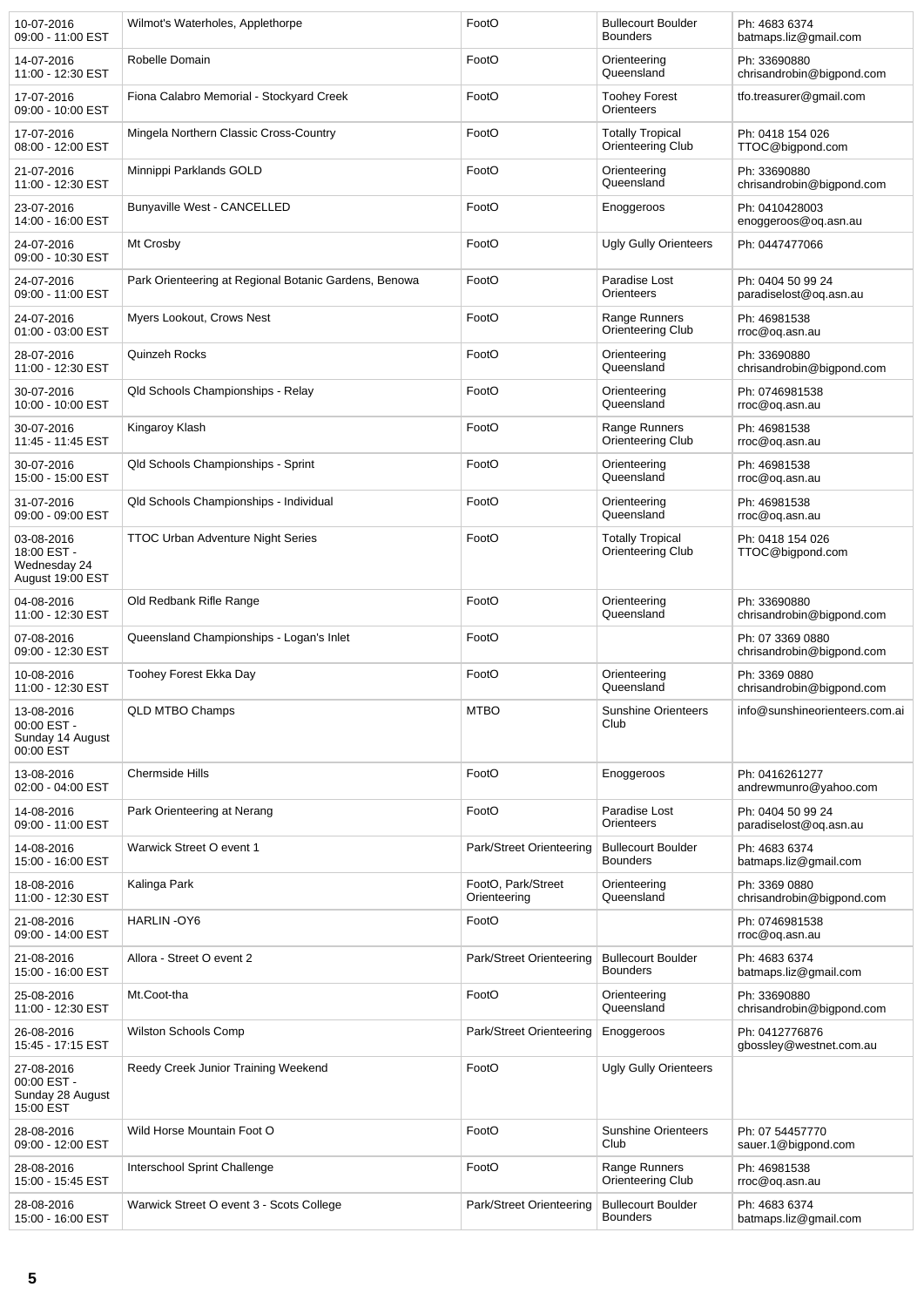| 10-07-2016<br>09:00 - 11:00 EST                               | Wilmot's Waterholes, Applethorpe                      | FootO                              | <b>Bullecourt Boulder</b><br><b>Bounders</b> | Ph: 4683 6374<br>batmaps.liz@gmail.com        |
|---------------------------------------------------------------|-------------------------------------------------------|------------------------------------|----------------------------------------------|-----------------------------------------------|
| 14-07-2016<br>11:00 - 12:30 EST                               | Robelle Domain                                        | FootO                              | Orienteering<br>Queensland                   | Ph: 33690880<br>chrisandrobin@bigpond.com     |
| 17-07-2016<br>09:00 - 10:00 EST                               | Fiona Calabro Memorial - Stockyard Creek              | FootO                              | <b>Toohey Forest</b><br>Orienteers           | tfo.treasurer@gmail.com                       |
| 17-07-2016<br>08:00 - 12:00 EST                               | Mingela Northern Classic Cross-Country                | FootO                              | <b>Totally Tropical</b><br>Orienteering Club | Ph: 0418 154 026<br>TTOC@bigpond.com          |
| 21-07-2016<br>11:00 - 12:30 EST                               | Minnippi Parklands GOLD                               | FootO                              | Orienteering<br>Queensland                   | Ph: 33690880<br>chrisandrobin@bigpond.com     |
| 23-07-2016<br>14:00 - 16:00 EST                               | <b>Bunyaville West - CANCELLED</b>                    | FootO                              | Enoggeroos                                   | Ph: 0410428003<br>enoggeroos@og.asn.au        |
| 24-07-2016<br>09:00 - 10:30 EST                               | Mt Crosby                                             | FootO                              | <b>Ugly Gully Orienteers</b>                 | Ph: 0447477066                                |
| 24-07-2016<br>09:00 - 11:00 EST                               | Park Orienteering at Regional Botanic Gardens, Benowa | FootO                              | Paradise Lost<br>Orienteers                  | Ph: 0404 50 99 24<br>paradiselost@oq.asn.au   |
| 24-07-2016<br>01:00 - 03:00 EST                               | Myers Lookout, Crows Nest                             | FootO                              | Range Runners<br>Orienteering Club           | Ph: 46981538<br>rroc@oq.asn.au                |
| 28-07-2016<br>11:00 - 12:30 EST                               | Quinzeh Rocks                                         | FootO                              | Orienteering<br>Queensland                   | Ph: 33690880<br>chrisandrobin@bigpond.com     |
| 30-07-2016<br>10:00 - 10:00 EST                               | Qld Schools Championships - Relay                     | FootO                              | Orienteering<br>Queensland                   | Ph: 0746981538<br>rroc@oq.asn.au              |
| 30-07-2016<br>11:45 - 11:45 EST                               | Kingaroy Klash                                        | FootO                              | Range Runners<br>Orienteering Club           | Ph: 46981538<br>rroc@oq.asn.au                |
| 30-07-2016<br>15:00 - 15:00 EST                               | Qld Schools Championships - Sprint                    | FootO                              | Orienteering<br>Queensland                   | Ph: 46981538<br>rroc@oq.asn.au                |
| 31-07-2016<br>09:00 - 09:00 EST                               | Qld Schools Championships - Individual                | FootO                              | Orienteering<br>Queensland                   | Ph: 46981538<br>rroc@oq.asn.au                |
| 03-08-2016<br>18:00 EST -<br>Wednesday 24<br>August 19:00 EST | <b>TTOC Urban Adventure Night Series</b>              | FootO                              | <b>Totally Tropical</b><br>Orienteering Club | Ph: 0418 154 026<br>TTOC@bigpond.com          |
| 04-08-2016<br>11:00 - 12:30 EST                               | Old Redbank Rifle Range                               | FootO                              | Orienteering<br>Queensland                   | Ph: 33690880<br>chrisandrobin@bigpond.com     |
| 07-08-2016<br>09:00 - 12:30 EST                               | Queensland Championships - Logan's Inlet              | FootO                              |                                              | Ph: 07 3369 0880<br>chrisandrobin@bigpond.com |
| 10-08-2016<br>11:00 - 12:30 EST                               | Toohey Forest Ekka Day                                | FootO                              | Orienteering<br>Queensland                   | Ph: 3369 0880<br>chrisandrobin@bigpond.com    |
| 13-08-2016<br>00:00 EST -<br>Sunday 14 August<br>00:00 EST    | <b>QLD MTBO Champs</b>                                | <b>MTBO</b>                        | <b>Sunshine Orienteers</b><br>Club           | info@sunshineorienteers.com.ai                |
| 13-08-2016<br>02:00 - 04:00 EST                               | Chermside Hills                                       | FootO                              | Enoggeroos                                   | Ph: 0416261277<br>andrewmunro@yahoo.com       |
| 14-08-2016<br>09:00 - 11:00 EST                               | Park Orienteering at Nerang                           | FootO                              | Paradise Lost<br>Orienteers                  | Ph: 0404 50 99 24<br>paradiselost@oq.asn.au   |
| 14-08-2016<br>15:00 - 16:00 EST                               | Warwick Street O event 1                              | Park/Street Orienteering           | <b>Bullecourt Boulder</b><br><b>Bounders</b> | Ph: 4683 6374<br>batmaps.liz@gmail.com        |
| 18-08-2016<br>11:00 - 12:30 EST                               | Kalinga Park                                          | FootO, Park/Street<br>Orienteering | Orienteering<br>Queensland                   | Ph: 3369 0880<br>chrisandrobin@bigpond.com    |
| 21-08-2016<br>09:00 - 14:00 EST                               | HARLIN-OY6                                            | FootO                              |                                              | Ph: 0746981538<br>rroc@oq.asn.au              |
| 21-08-2016<br>15:00 - 16:00 EST                               | Allora - Street O event 2                             | Park/Street Orienteering           | <b>Bullecourt Boulder</b><br><b>Bounders</b> | Ph: 4683 6374<br>batmaps.liz@gmail.com        |
| 25-08-2016<br>11:00 - 12:30 EST                               | Mt.Coot-tha                                           | FootO                              | Orienteering<br>Queensland                   | Ph: 33690880<br>chrisandrobin@bigpond.com     |
| 26-08-2016<br>15:45 - 17:15 EST                               | Wilston Schools Comp                                  | Park/Street Orienteering           | Enoggeroos                                   | Ph: 0412776876<br>gbossley@westnet.com.au     |
| 27-08-2016<br>00:00 EST -<br>Sunday 28 August<br>15:00 EST    | Reedy Creek Junior Training Weekend                   | FootO                              | <b>Ugly Gully Orienteers</b>                 |                                               |
| 28-08-2016<br>09:00 - 12:00 EST                               | Wild Horse Mountain Foot O                            | FootO                              | <b>Sunshine Orienteers</b><br>Club           | Ph: 07 54457770<br>sauer.1@bigpond.com        |
| 28-08-2016<br>15:00 - 15:45 EST                               | Interschool Sprint Challenge                          | FootO                              | Range Runners<br>Orienteering Club           | Ph: 46981538<br>rroc@oq.asn.au                |
| 28-08-2016<br>15:00 - 16:00 EST                               | Warwick Street O event 3 - Scots College              | Park/Street Orienteering           | <b>Bullecourt Boulder</b><br><b>Bounders</b> | Ph: 4683 6374<br>batmaps.liz@gmail.com        |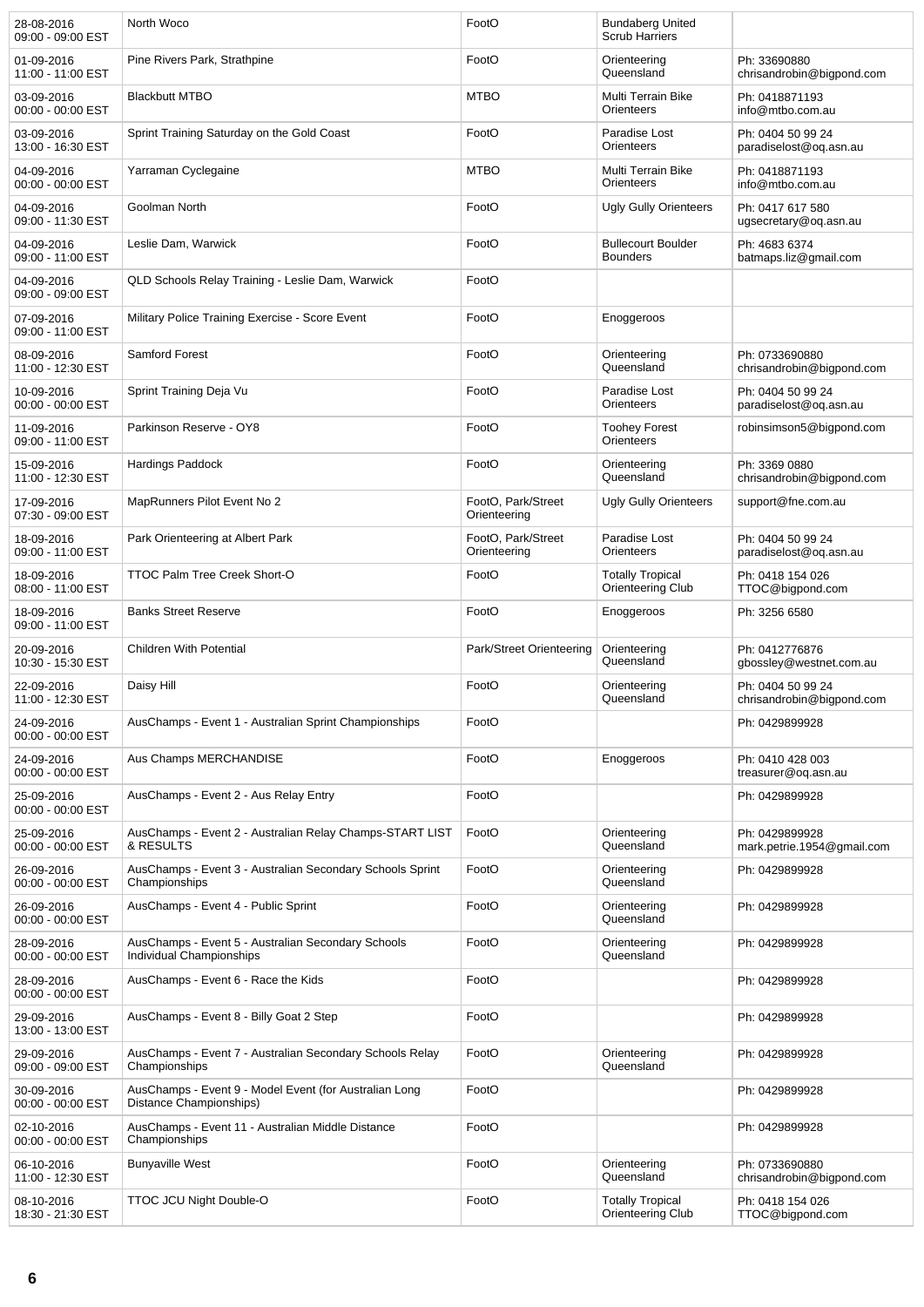| 28-08-2016<br>09:00 - 09:00 EST   | North Woco                                                                        | FootO                              | <b>Bundaberg United</b><br><b>Scrub Harriers</b> |                                                |
|-----------------------------------|-----------------------------------------------------------------------------------|------------------------------------|--------------------------------------------------|------------------------------------------------|
| 01-09-2016<br>11:00 - 11:00 EST   | Pine Rivers Park, Strathpine                                                      | FootO                              | Orienteering<br>Queensland                       | Ph: 33690880<br>chrisandrobin@bigpond.com      |
| 03-09-2016<br>00:00 - 00:00 EST   | <b>Blackbutt MTBO</b>                                                             | <b>MTBO</b>                        | Multi Terrain Bike<br>Orienteers                 | Ph: 0418871193<br>info@mtbo.com.au             |
| 03-09-2016<br>13:00 - 16:30 EST   | Sprint Training Saturday on the Gold Coast                                        | FootO                              | Paradise Lost<br>Orienteers                      | Ph: 0404 50 99 24<br>paradiselost@oq.asn.au    |
| 04-09-2016<br>00:00 - 00:00 EST   | Yarraman Cyclegaine                                                               | <b>MTBO</b>                        | Multi Terrain Bike<br>Orienteers                 | Ph: 0418871193<br>info@mtbo.com.au             |
| 04-09-2016<br>09:00 - 11:30 EST   | Goolman North                                                                     | FootO                              | <b>Ugly Gully Orienteers</b>                     | Ph: 0417 617 580<br>ugsecretary@oq.asn.au      |
| 04-09-2016<br>09:00 - 11:00 EST   | Leslie Dam, Warwick                                                               | FootO                              | <b>Bullecourt Boulder</b><br><b>Bounders</b>     | Ph: 4683 6374<br>batmaps.liz@gmail.com         |
| 04-09-2016<br>09:00 - 09:00 EST   | QLD Schools Relay Training - Leslie Dam, Warwick                                  | FootO                              |                                                  |                                                |
| 07-09-2016<br>09:00 - 11:00 EST   | Military Police Training Exercise - Score Event                                   | FootO                              | Enoggeroos                                       |                                                |
| 08-09-2016<br>11:00 - 12:30 EST   | <b>Samford Forest</b>                                                             | FootO                              | Orienteering<br>Queensland                       | Ph: 0733690880<br>chrisandrobin@bigpond.com    |
| 10-09-2016<br>00:00 - 00:00 EST   | Sprint Training Deja Vu                                                           | FootO                              | Paradise Lost<br>Orienteers                      | Ph: 0404 50 99 24<br>paradiselost@og.asn.au    |
| 11-09-2016<br>09:00 - 11:00 EST   | Parkinson Reserve - OY8                                                           | FootO                              | <b>Toohey Forest</b><br>Orienteers               | robinsimson5@bigpond.com                       |
| 15-09-2016<br>11:00 - 12:30 EST   | <b>Hardings Paddock</b>                                                           | FootO                              | Orienteering<br>Queensland                       | Ph: 3369 0880<br>chrisandrobin@bigpond.com     |
| 17-09-2016<br>07:30 - 09:00 EST   | MapRunners Pilot Event No 2                                                       | FootO, Park/Street<br>Orienteering | <b>Ugly Gully Orienteers</b>                     | support@fne.com.au                             |
| 18-09-2016<br>09:00 - 11:00 EST   | Park Orienteering at Albert Park                                                  | FootO, Park/Street<br>Orienteering | Paradise Lost<br>Orienteers                      | Ph: 0404 50 99 24<br>paradiselost@oq.asn.au    |
| 18-09-2016<br>08:00 - 11:00 EST   | <b>TTOC Palm Tree Creek Short-O</b>                                               | FootO                              | <b>Totally Tropical</b><br>Orienteering Club     | Ph: 0418 154 026<br>TTOC@bigpond.com           |
| 18-09-2016<br>09:00 - 11:00 EST   | <b>Banks Street Reserve</b>                                                       | FootO                              | Enoggeroos                                       | Ph: 3256 6580                                  |
| 20-09-2016<br>10:30 - 15:30 EST   | <b>Children With Potential</b>                                                    | Park/Street Orienteering           | Orienteering<br>Queensland                       | Ph: 0412776876<br>gbossley@westnet.com.au      |
| 22-09-2016<br>11:00 - 12:30 EST   | Daisy Hill                                                                        | FootO                              | Orienteering<br>Queensland                       | Ph: 0404 50 99 24<br>chrisandrobin@bigpond.com |
| 24-09-2016<br>$00:00 - 00:00$ EST | AusChamps - Event 1 - Australian Sprint Championships                             | FootO                              |                                                  | Ph: 0429899928                                 |
| 24-09-2016<br>00:00 - 00:00 EST   | Aus Champs MERCHANDISE                                                            | FootO                              | Enoggeroos                                       | Ph: 0410 428 003<br>treasurer@oq.asn.au        |
| 25-09-2016<br>00:00 - 00:00 EST   | AusChamps - Event 2 - Aus Relay Entry                                             | FootO                              |                                                  | Ph: 0429899928                                 |
| 25-09-2016<br>00:00 - 00:00 EST   | AusChamps - Event 2 - Australian Relay Champs-START LIST<br>& RESULTS             | FootO                              | Orienteering<br>Queensland                       | Ph: 0429899928<br>mark.petrie.1954@gmail.com   |
| 26-09-2016<br>00:00 - 00:00 EST   | AusChamps - Event 3 - Australian Secondary Schools Sprint<br>Championships        | FootO                              | Orienteering<br>Queensland                       | Ph: 0429899928                                 |
| 26-09-2016<br>00:00 - 00:00 EST   | AusChamps - Event 4 - Public Sprint                                               | FootO                              | Orienteering<br>Queensland                       | Ph: 0429899928                                 |
| 28-09-2016<br>00:00 - 00:00 EST   | AusChamps - Event 5 - Australian Secondary Schools<br>Individual Championships    | FootO                              | Orienteering<br>Queensland                       | Ph: 0429899928                                 |
| 28-09-2016<br>00:00 - 00:00 EST   | AusChamps - Event 6 - Race the Kids                                               | FootO                              |                                                  | Ph: 0429899928                                 |
| 29-09-2016<br>13:00 - 13:00 EST   | AusChamps - Event 8 - Billy Goat 2 Step                                           | FootO                              |                                                  | Ph: 0429899928                                 |
| 29-09-2016<br>09:00 - 09:00 EST   | AusChamps - Event 7 - Australian Secondary Schools Relay<br>Championships         | FootO                              | Orienteering<br>Queensland                       | Ph: 0429899928                                 |
| 30-09-2016<br>00:00 - 00:00 EST   | AusChamps - Event 9 - Model Event (for Australian Long<br>Distance Championships) | FootO                              |                                                  | Ph: 0429899928                                 |
| 02-10-2016<br>00:00 - 00:00 EST   | AusChamps - Event 11 - Australian Middle Distance<br>Championships                | FootO                              |                                                  | Ph: 0429899928                                 |
| 06-10-2016<br>11:00 - 12:30 EST   | <b>Bunyaville West</b>                                                            | FootO                              | Orienteering<br>Queensland                       | Ph: 0733690880<br>chrisandrobin@bigpond.com    |
| 08-10-2016<br>18:30 - 21:30 EST   | <b>TTOC JCU Night Double-O</b>                                                    | FootO                              | <b>Totally Tropical</b><br>Orienteering Club     | Ph: 0418 154 026<br>TTOC@bigpond.com           |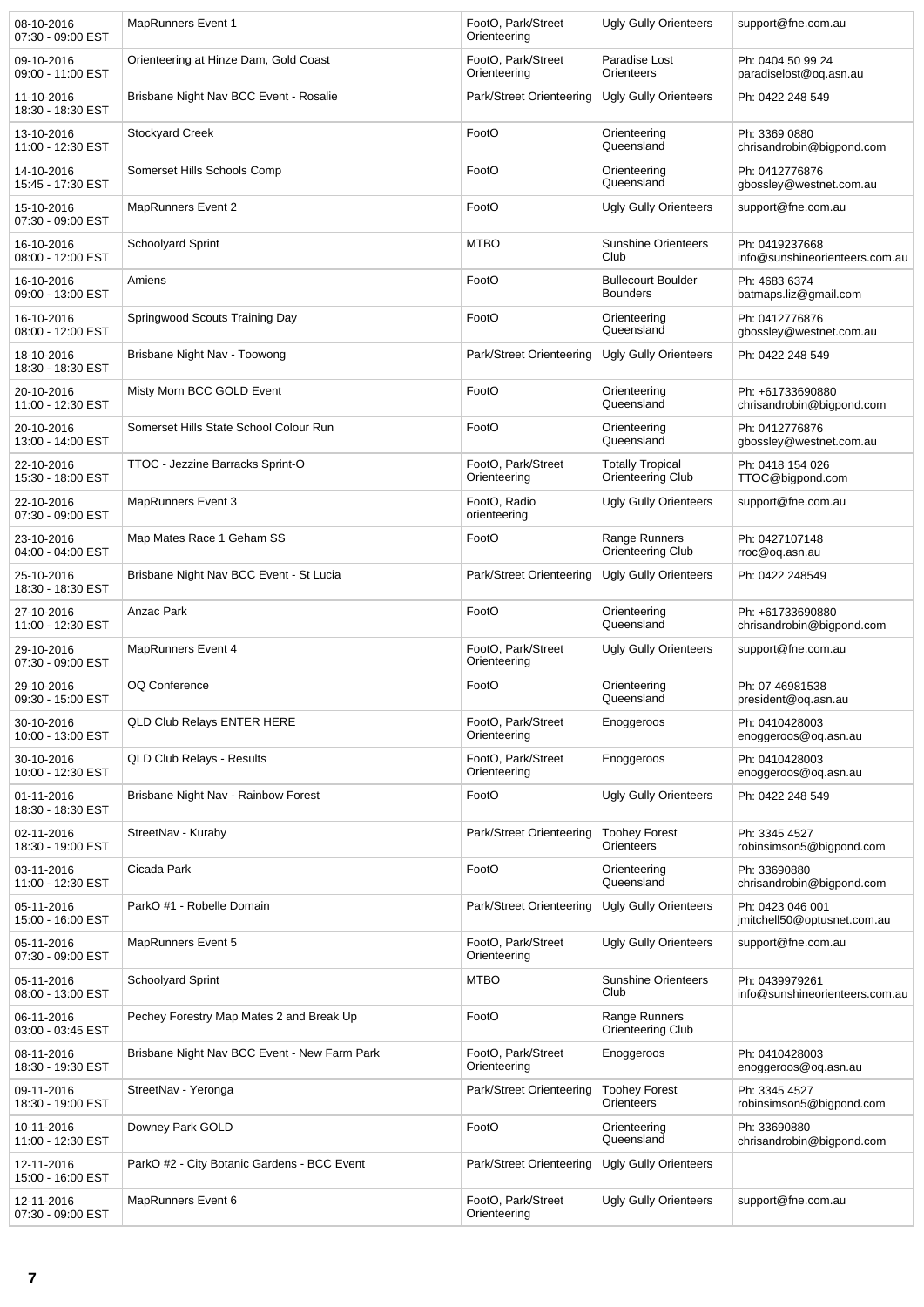| 08-10-2016<br>07:30 - 09:00 EST | <b>MapRunners Event 1</b>                    | FootO, Park/Street<br>Orienteering | <b>Ugly Gully Orienteers</b>                 | support@fne.com.au                               |
|---------------------------------|----------------------------------------------|------------------------------------|----------------------------------------------|--------------------------------------------------|
| 09-10-2016<br>09:00 - 11:00 EST | Orienteering at Hinze Dam, Gold Coast        | FootO, Park/Street<br>Orienteering | Paradise Lost<br>Orienteers                  | Ph: 0404 50 99 24<br>paradiselost@oq.asn.au      |
| 11-10-2016<br>18:30 - 18:30 EST | Brisbane Night Nav BCC Event - Rosalie       | Park/Street Orienteering           | <b>Ugly Gully Orienteers</b>                 | Ph: 0422 248 549                                 |
| 13-10-2016<br>11:00 - 12:30 EST | Stockyard Creek                              | FootO                              | Orienteering<br>Queensland                   | Ph: 3369 0880<br>chrisandrobin@bigpond.com       |
| 14-10-2016<br>15:45 - 17:30 EST | Somerset Hills Schools Comp                  | FootO                              | Orienteering<br>Queensland                   | Ph: 0412776876<br>gbossley@westnet.com.au        |
| 15-10-2016<br>07:30 - 09:00 EST | <b>MapRunners Event 2</b>                    | FootO                              | <b>Ugly Gully Orienteers</b>                 | support@fne.com.au                               |
| 16-10-2016<br>08:00 - 12:00 EST | <b>Schoolyard Sprint</b>                     | <b>MTBO</b>                        | <b>Sunshine Orienteers</b><br>Club           | Ph: 0419237668<br>info@sunshineorienteers.com.au |
| 16-10-2016<br>09:00 - 13:00 EST | Amiens                                       | FootO                              | <b>Bullecourt Boulder</b><br><b>Bounders</b> | Ph: 4683 6374<br>batmaps.liz@gmail.com           |
| 16-10-2016<br>08:00 - 12:00 EST | Springwood Scouts Training Day               | FootO                              | Orienteering<br>Queensland                   | Ph: 0412776876<br>gbossley@westnet.com.au        |
| 18-10-2016<br>18:30 - 18:30 EST | Brisbane Night Nav - Toowong                 | Park/Street Orienteering           | Ugly Gully Orienteers                        | Ph: 0422 248 549                                 |
| 20-10-2016<br>11:00 - 12:30 EST | Misty Morn BCC GOLD Event                    | FootO                              | Orienteering<br>Queensland                   | Ph: +61733690880<br>chrisandrobin@bigpond.com    |
| 20-10-2016<br>13:00 - 14:00 EST | Somerset Hills State School Colour Run       | FootO                              | Orienteering<br>Queensland                   | Ph: 0412776876<br>gbossley@westnet.com.au        |
| 22-10-2016<br>15:30 - 18:00 EST | TTOC - Jezzine Barracks Sprint-O             | FootO, Park/Street<br>Orienteering | <b>Totally Tropical</b><br>Orienteering Club | Ph: 0418 154 026<br>TTOC@bigpond.com             |
| 22-10-2016<br>07:30 - 09:00 EST | <b>MapRunners Event 3</b>                    | FootO, Radio<br>orienteering       | <b>Ugly Gully Orienteers</b>                 | support@fne.com.au                               |
| 23-10-2016<br>04:00 - 04:00 EST | Map Mates Race 1 Geham SS                    | FootO                              | Range Runners<br>Orienteering Club           | Ph: 0427107148<br>rroc@oq.asn.au                 |
| 25-10-2016<br>18:30 - 18:30 EST | Brisbane Night Nav BCC Event - St Lucia      | Park/Street Orienteering           | <b>Ugly Gully Orienteers</b>                 | Ph: 0422 248549                                  |
| 27-10-2016<br>11:00 - 12:30 EST | Anzac Park                                   | FootO                              | Orienteering<br>Queensland                   | Ph: +61733690880<br>chrisandrobin@bigpond.com    |
| 29-10-2016<br>07:30 - 09:00 EST | <b>MapRunners Event 4</b>                    | FootO, Park/Street<br>Orienteering | <b>Ugly Gully Orienteers</b>                 | support@fne.com.au                               |
| 29-10-2016<br>09:30 - 15:00 EST | <b>OQ Conference</b>                         | FootO                              | Orienteering<br>Queensland                   | Ph: 07 46981538<br>president@oq.asn.au           |
| 30-10-2016<br>10:00 - 13:00 EST | <b>QLD Club Relays ENTER HERE</b>            | FootO, Park/Street<br>Orienteering | Enoggeroos                                   | Ph: 0410428003<br>enoggeroos@og.asn.au           |
| 30-10-2016<br>10:00 - 12:30 EST | <b>QLD Club Relays - Results</b>             | FootO, Park/Street<br>Orienteering | Enoggeroos                                   | Ph: 0410428003<br>enoggeroos@og.asn.au           |
| 01-11-2016<br>18:30 - 18:30 EST | Brisbane Night Nav - Rainbow Forest          | FootO                              | <b>Ugly Gully Orienteers</b>                 | Ph: 0422 248 549                                 |
| 02-11-2016<br>18:30 - 19:00 EST | StreetNav - Kuraby                           | Park/Street Orienteering           | <b>Toohey Forest</b><br>Orienteers           | Ph: 3345 4527<br>robinsimson5@bigpond.com        |
| 03-11-2016<br>11:00 - 12:30 EST | Cicada Park                                  | FootO                              | Orienteering<br>Queensland                   | Ph: 33690880<br>chrisandrobin@bigpond.com        |
| 05-11-2016<br>15:00 - 16:00 EST | ParkO #1 - Robelle Domain                    | Park/Street Orienteering           | <b>Ugly Gully Orienteers</b>                 | Ph: 0423 046 001<br>jmitchell50@optusnet.com.au  |
| 05-11-2016<br>07:30 - 09:00 EST | <b>MapRunners Event 5</b>                    | FootO, Park/Street<br>Orienteering | <b>Ugly Gully Orienteers</b>                 | support@fne.com.au                               |
| 05-11-2016<br>08:00 - 13:00 EST | Schoolyard Sprint                            | <b>MTBO</b>                        | <b>Sunshine Orienteers</b><br>Club           | Ph: 0439979261<br>info@sunshineorienteers.com.au |
| 06-11-2016<br>03:00 - 03:45 EST | Pechey Forestry Map Mates 2 and Break Up     | FootO                              | Range Runners<br>Orienteering Club           |                                                  |
| 08-11-2016<br>18:30 - 19:30 EST | Brisbane Night Nav BCC Event - New Farm Park | FootO, Park/Street<br>Orienteering | Enoggeroos                                   | Ph: 0410428003<br>enoggeroos@oq.asn.au           |
| 09-11-2016<br>18:30 - 19:00 EST | StreetNav - Yeronga                          | Park/Street Orienteering           | <b>Toohey Forest</b><br>Orienteers           | Ph: 3345 4527<br>robinsimson5@bigpond.com        |
| 10-11-2016<br>11:00 - 12:30 EST | Downey Park GOLD                             | FootO                              | Orienteering<br>Queensland                   | Ph: 33690880<br>chrisandrobin@bigpond.com        |
| 12-11-2016<br>15:00 - 16:00 EST | ParkO #2 - City Botanic Gardens - BCC Event  | Park/Street Orienteering           | Ugly Gully Orienteers                        |                                                  |
| 12-11-2016<br>07:30 - 09:00 EST | MapRunners Event 6                           | FootO, Park/Street<br>Orienteering | Ugly Gully Orienteers                        | support@fne.com.au                               |